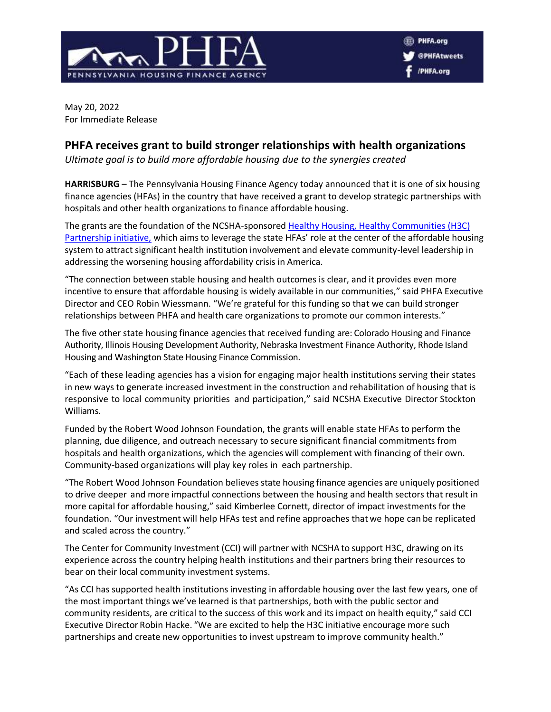

May 20, 2022 For Immediate Release

## **PHFA receives grant to build stronger relationships with health organizations**

*Ultimate goal is to build more affordable housing due to the synergies created*

**HARRISBURG** – The Pennsylvania Housing Finance Agency today announced that it is one of six housing finance agencies (HFAs) in the country that have received a grant to develop strategic partnerships with hospitals and other health organizations to finance affordable housing.

The grants are the foundation of the NCSHA-sponsored Healthy Housing, Healthy Communities (H3C) [Partnership initiative,](https://www.ncsha.org/about-us/h3c-healthy-housing-healthy-communities-partnerships/) which aims to leverage the state HFAs' role at the center of the affordable housing system to attract significant health institution involvement and elevate community-level leadership in addressing the worsening housing affordability crisis in America.

"The connection between stable housing and health outcomes is clear, and it provides even more incentive to ensure that affordable housing is widely available in our communities," said PHFA Executive Director and CEO Robin Wiessmann. "We're grateful for this funding so that we can build stronger relationships between PHFA and health care organizations to promote our common interests."

The five other state housing finance agencies that received funding are: Colorado Housing and Finance Authority, Illinois Housing Development Authority, Nebraska Investment Finance Authority, Rhode Island Housing and Washington State Housing Finance Commission.

"Each of these leading agencies has a vision for engaging major health institutions serving their states in new ways to generate increased investment in the construction and rehabilitation of housing that is responsive to local community priorities and participation," said NCSHA Executive Director Stockton Williams.

Funded by the Robert Wood Johnson Foundation, the grants will enable state HFAs to perform the planning, due diligence, and outreach necessary to secure significant financial commitments from hospitals and health organizations, which the agencies will complement with financing of their own. Community-based organizations will play key roles in each partnership.

"The Robert Wood Johnson Foundation believes state housing finance agencies are uniquely positioned to drive deeper and more impactful connections between the housing and health sectors that result in more capital for affordable housing," said Kimberlee Cornett, director of impact investments for the foundation. "Our investment will help HFAs test and refine approaches that we hope can be replicated and scaled across the country."

The Center for Community Investment (CCI) will partner with NCSHA to support H3C, drawing on its experience across the country helping health institutions and their partners bring their resources to bear on their local community investment systems.

"As CCI has supported health institutions investing in affordable housing over the last few years, one of the most important things we've learned is that partnerships, both with the public sector and community residents, are critical to the success of this work and its impact on health equity," said CCI Executive Director Robin Hacke. "We are excited to help the H3C initiative encourage more such partnerships and create new opportunities to invest upstream to improve community health."